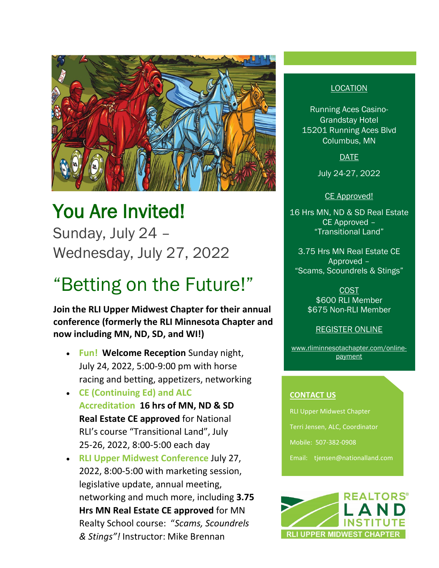

# You Are Invited!

Sunday, July 24 – Wednesday, July 27, 2022

## "Betting on the Future!"

**Join the RLI Upper Midwest Chapter for their annual conference (formerly the RLI Minnesota Chapter and now including MN, ND, SD, and WI!)**

- **Fun! Welcome Reception** Sunday night, July 24, 2022, 5:00-9:00 pm with horse racing and betting, appetizers, networking
- **CE (Continuing Ed) and ALC Accreditation 16 hrs of MN, ND & SD Real Estate CE approved** for National RLI's course "Transitional Land", July 25-26, 2022, 8:00-5:00 each day
- **RLI Upper Midwest Conference** July 27, 2022, 8:00-5:00 with marketing session, legislative update, annual meeting, networking and much more, including **3.75 Hrs MN Real Estate CE approved** for MN Realty School course: "*Scams, Scoundrels & Stings"!* Instructor: Mike Brennan

#### LOCATION

Running Aces Casino-Grandstay Hotel 15201 Running Aces Blvd Columbus, MN

DATE

July 24-27, 2022

CE Approved!

16 Hrs MN, ND & SD Real Estate CE Approved – "Transitional Land"

3.75 Hrs MN Real Estate CE Approved – "Scams, Scoundrels & Stings"

> COST \$600 RLI Member \$675 Non-RLI Member

> > REGISTER ONLINE

[www.rliminnesotachapter.com/online](http://www.rliminnesotachapter.com/online-payment)[payment](http://www.rliminnesotachapter.com/online-payment)

#### **CONTACT US**

RLI Upper Midwest Chapter

Terri Jensen, ALC, Coordinator

Mobile: 507-382-0908

Email: tjensen@nationalland.com

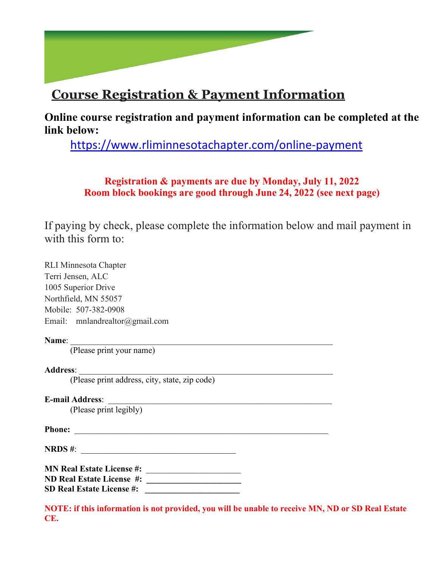## **Course Registration & Payment Information**

**Online course registration and payment information can be completed at the link below:**

<https://www.rliminnesotachapter.com/online-payment>

#### **Registration & payments are due by Monday, July 11, 2022 Room block bookings are good through June 24, 2022 (see next page)**

If paying by check, please complete the information below and mail payment in with this form to:

RLI Minnesota Chapter Terri Jensen, ALC 1005 Superior Drive Northfield, MN 55057 Mobile: 507-382-0908 Email: mnlandrealtor@gmail.com

#### **Name**: \_\_\_\_\_\_\_\_\_\_\_\_\_\_\_\_\_\_\_\_\_\_\_\_\_\_\_\_\_\_\_\_\_\_\_\_\_\_\_\_\_\_\_\_\_\_\_\_\_\_\_\_\_\_\_\_\_\_\_\_\_

(Please print your name)

#### **Address**: \_\_\_\_\_\_\_\_\_\_\_\_\_\_\_\_\_\_\_\_\_\_\_\_\_\_\_\_\_\_\_\_\_\_\_\_\_\_\_\_\_\_\_\_\_\_\_\_\_\_\_\_\_\_\_\_\_\_\_

(Please print address, city, state, zip code)

**E-mail Address**: \_\_\_\_\_\_\_\_\_\_\_\_\_\_\_\_\_\_\_\_\_\_\_\_\_\_\_\_\_\_\_\_\_\_\_\_\_\_\_\_\_\_\_\_\_\_\_\_\_\_\_\_

(Please print legibly)

**Phone:** \_\_\_\_\_\_\_\_\_\_\_\_\_\_\_\_\_\_\_\_\_\_\_\_\_\_\_\_\_\_\_\_\_\_\_\_\_\_\_\_\_\_\_\_\_\_\_\_\_\_\_\_\_\_\_\_\_\_\_

**NRDS** #:

**MN Real Estate License #:** \_\_\_\_\_\_\_\_\_\_\_\_\_\_\_\_\_\_\_\_\_\_ **ND Real Estate License #: \_\_\_\_\_\_\_\_\_\_\_\_\_\_\_\_\_\_\_\_\_\_ SD Real Estate License #:** 

**NOTE: if this information is not provided, you will be unable to receive MN, ND or SD Real Estate CE.**